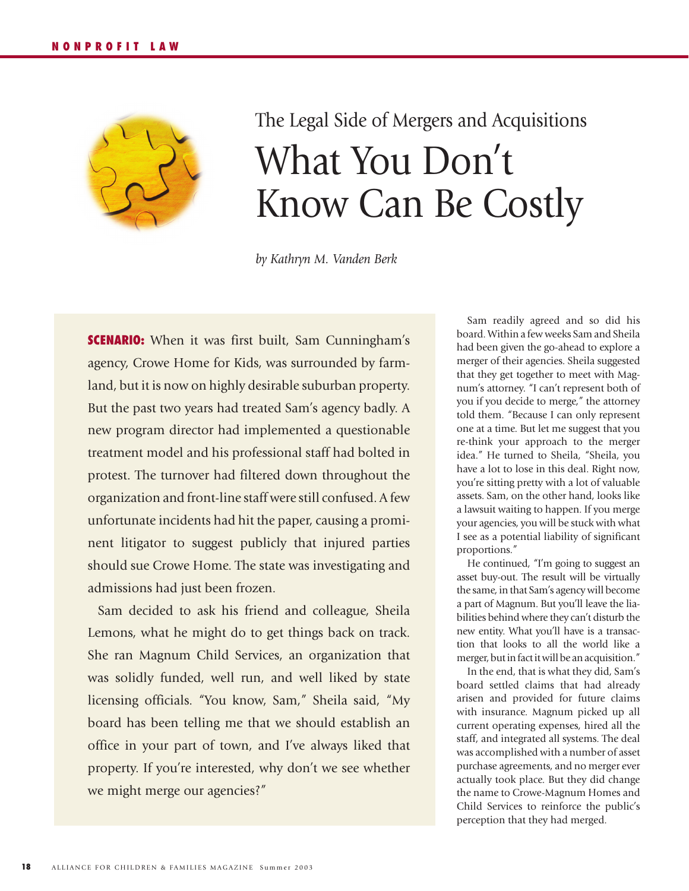

## The Legal Side of Mergers and Acquisitions What You Don't Know Can Be Costly

*by Kathryn M. Vanden Berk*

**SCENARIO:** When it was first built, Sam Cunningham's agency, Crowe Home for Kids, was surrounded by farmland, but it is now on highly desirable suburban property. But the past two years had treated Sam's agency badly. A new program director had implemented a questionable treatment model and his professional staff had bolted in protest. The turnover had filtered down throughout the organization and front-line staff were still confused. A few unfortunate incidents had hit the paper, causing a prominent litigator to suggest publicly that injured parties should sue Crowe Home. The state was investigating and admissions had just been frozen.

Sam decided to ask his friend and colleague, Sheila Lemons, what he might do to get things back on track. She ran Magnum Child Services, an organization that was solidly funded, well run, and well liked by state licensing officials. "You know, Sam," Sheila said, "My board has been telling me that we should establish an office in your part of town, and I've always liked that property. If you're interested, why don't we see whether we might merge our agencies?"

Sam readily agreed and so did his board. Within a few weeks Sam and Sheila had been given the go-ahead to explore a merger of their agencies. Sheila suggested that they get together to meet with Magnum's attorney. "I can't represent both of you if you decide to merge," the attorney told them. "Because I can only represent one at a time. But let me suggest that you re-think your approach to the merger idea." He turned to Sheila, "Sheila, you have a lot to lose in this deal. Right now, you're sitting pretty with a lot of valuable assets. Sam, on the other hand, looks like a lawsuit waiting to happen. If you merge your agencies, you will be stuck with what I see as a potential liability of significant proportions."

He continued, "I'm going to suggest an asset buy-out. The result will be virtually the same, in that Sam's agency will become a part of Magnum. But you'll leave the liabilities behind where they can't disturb the new entity. What you'll have is a transaction that looks to all the world like a merger, but in fact it will be an acquisition."

In the end, that is what they did, Sam's board settled claims that had already arisen and provided for future claims with insurance. Magnum picked up all current operating expenses, hired all the staff, and integrated all systems. The deal was accomplished with a number of asset purchase agreements, and no merger ever actually took place. But they did change the name to Crowe-Magnum Homes and Child Services to reinforce the public's perception that they had merged.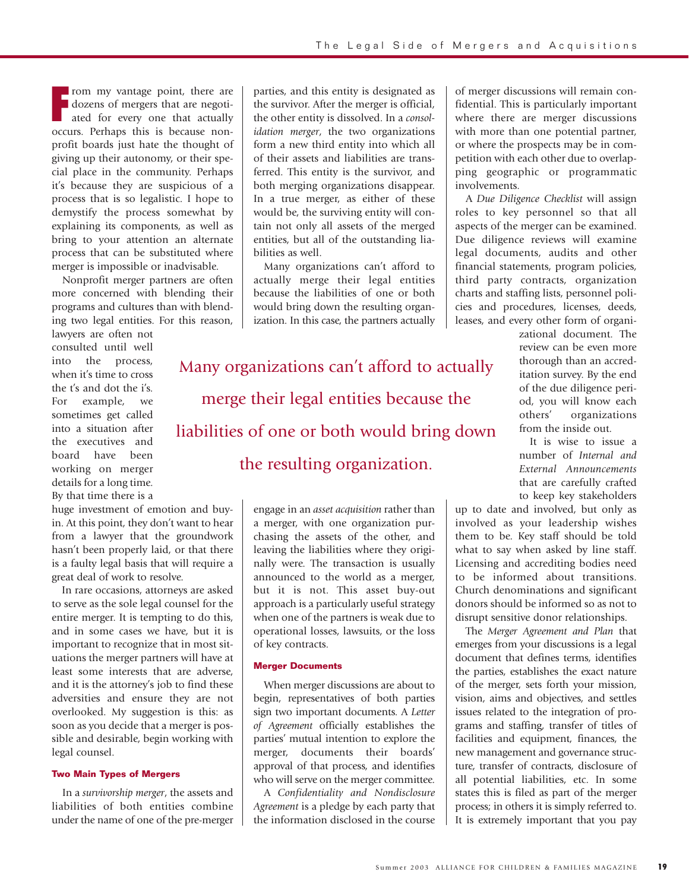**FR** common my vantage point, there are dozens of mergers that are negotiated for every one that actually occurs. Perhaps this is because nonrom my vantage point, there are dozens of mergers that are negotiated for every one that actually profit boards just hate the thought of giving up their autonomy, or their special place in the community. Perhaps it's because they are suspicious of a process that is so legalistic. I hope to demystify the process somewhat by explaining its components, as well as bring to your attention an alternate process that can be substituted where merger is impossible or inadvisable.

Nonprofit merger partners are often more concerned with blending their programs and cultures than with blending two legal entities. For this reason,

lawyers are often not consulted until well into the process, when it's time to cross the t's and dot the i's. For example, we sometimes get called into a situation after the executives and board have been working on merger details for a long time. By that time there is a

huge investment of emotion and buyin. At this point, they don't want to hear from a lawyer that the groundwork hasn't been properly laid, or that there is a faulty legal basis that will require a great deal of work to resolve.

In rare occasions, attorneys are asked to serve as the sole legal counsel for the entire merger. It is tempting to do this, and in some cases we have, but it is important to recognize that in most situations the merger partners will have at least some interests that are adverse, and it is the attorney's job to find these adversities and ensure they are not overlooked. My suggestion is this: as soon as you decide that a merger is possible and desirable, begin working with legal counsel.

## **Two Main Types of Mergers**

In a *survivorship merger*, the assets and liabilities of both entities combine under the name of one of the pre-merger

parties, and this entity is designated as the survivor. After the merger is official, the other entity is dissolved. In a *consolidation merger*, the two organizations form a new third entity into which all of their assets and liabilities are transferred. This entity is the survivor, and both merging organizations disappear. In a true merger, as either of these would be, the surviving entity will contain not only all assets of the merged entities, but all of the outstanding liabilities as well.

Many organizations can't afford to actually merge their legal entities because the liabilities of one or both would bring down the resulting organization. In this case, the partners actually

Many organizations can't afford to actually merge their legal entities because the liabilities of one or both would bring down the resulting organization.

> engage in an *asset acquisition* rather than a merger, with one organization purchasing the assets of the other, and leaving the liabilities where they originally were. The transaction is usually announced to the world as a merger, but it is not. This asset buy-out approach is a particularly useful strategy when one of the partners is weak due to operational losses, lawsuits, or the loss of key contracts.

## **Merger Documents**

When merger discussions are about to begin, representatives of both parties sign two important documents. A *Letter of Agreement* officially establishes the parties' mutual intention to explore the merger, documents their boards' approval of that process, and identifies who will serve on the merger committee.

A *Confidentiality and Nondisclosure Agreement* is a pledge by each party that the information disclosed in the course

of merger discussions will remain confidential. This is particularly important where there are merger discussions with more than one potential partner, or where the prospects may be in competition with each other due to overlapping geographic or programmatic involvements.

A *Due Diligence Checklist* will assign roles to key personnel so that all aspects of the merger can be examined. Due diligence reviews will examine legal documents, audits and other financial statements, program policies, third party contracts, organization charts and staffing lists, personnel policies and procedures, licenses, deeds, leases, and every other form of organi-

> zational document. The review can be even more thorough than an accreditation survey. By the end of the due diligence period, you will know each others' organizations from the inside out.

> It is wise to issue a number of *Internal and External Announcements* that are carefully crafted to keep key stakeholders

up to date and involved, but only as involved as your leadership wishes them to be. Key staff should be told what to say when asked by line staff. Licensing and accrediting bodies need to be informed about transitions. Church denominations and significant donors should be informed so as not to disrupt sensitive donor relationships.

The *Merger Agreement and Plan* that emerges from your discussions is a legal document that defines terms, identifies the parties, establishes the exact nature of the merger, sets forth your mission, vision, aims and objectives, and settles issues related to the integration of programs and staffing, transfer of titles of facilities and equipment, finances, the new management and governance structure, transfer of contracts, disclosure of all potential liabilities, etc. In some states this is filed as part of the merger process; in others it is simply referred to. It is extremely important that you pay